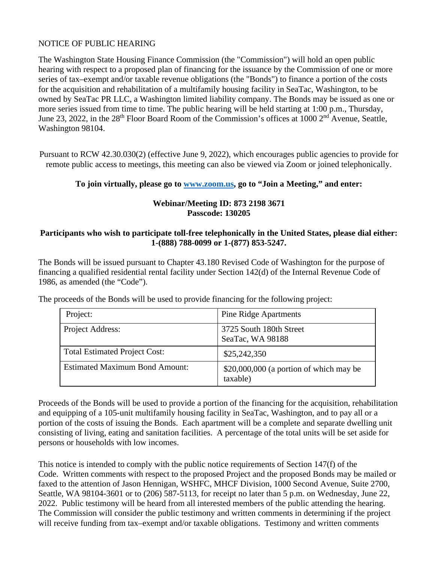## NOTICE OF PUBLIC HEARING

The Washington State Housing Finance Commission (the "Commission") will hold an open public hearing with respect to a proposed plan of financing for the issuance by the Commission of one or more series of tax–exempt and/or taxable revenue obligations (the "Bonds") to finance a portion of the costs for the acquisition and rehabilitation of a multifamily housing facility in SeaTac, Washington, to be owned by SeaTac PR LLC, a Washington limited liability company. The Bonds may be issued as one or more series issued from time to time. The public hearing will be held starting at 1:00 p.m., Thursday, June 23, 2022, in the 28<sup>th</sup> Floor Board Room of the Commission's offices at 1000 2<sup>nd</sup> Avenue, Seattle, Washington 98104.

Pursuant to RCW 42.30.030(2) (effective June 9, 2022), which encourages public agencies to provide for remote public access to meetings, this meeting can also be viewed via Zoom or joined telephonically.

## **To join virtually, please go to [www.zoom.us,](http://www.zoom.us/) go to "Join a Meeting," and enter:**

## **Webinar/Meeting ID: 873 2198 3671 Passcode: 130205**

## **Participants who wish to participate toll-free telephonically in the United States, please dial either: 1-(888) 788-0099 or 1-(877) 853-5247.**

The Bonds will be issued pursuant to Chapter 43.180 Revised Code of Washington for the purpose of financing a qualified residential rental facility under Section 142(d) of the Internal Revenue Code of 1986, as amended (the "Code").

| Project:                              | <b>Pine Ridge Apartments</b>                         |
|---------------------------------------|------------------------------------------------------|
| Project Address:                      | 3725 South 180th Street<br>SeaTac, WA 98188          |
| <b>Total Estimated Project Cost:</b>  | \$25,242,350                                         |
| <b>Estimated Maximum Bond Amount:</b> | $$20,000,000$ (a portion of which may be<br>taxable) |

The proceeds of the Bonds will be used to provide financing for the following project:

Proceeds of the Bonds will be used to provide a portion of the financing for the acquisition, rehabilitation and equipping of a 105-unit multifamily housing facility in SeaTac, Washington, and to pay all or a portion of the costs of issuing the Bonds. Each apartment will be a complete and separate dwelling unit consisting of living, eating and sanitation facilities. A percentage of the total units will be set aside for persons or households with low incomes.

This notice is intended to comply with the public notice requirements of Section 147(f) of the Code. Written comments with respect to the proposed Project and the proposed Bonds may be mailed or faxed to the attention of Jason Hennigan, WSHFC, MHCF Division, 1000 Second Avenue, Suite 2700, Seattle, WA 98104-3601 or to (206) 587-5113, for receipt no later than 5 p.m. on Wednesday, June 22, 2022. Public testimony will be heard from all interested members of the public attending the hearing. The Commission will consider the public testimony and written comments in determining if the project will receive funding from tax–exempt and/or taxable obligations. Testimony and written comments